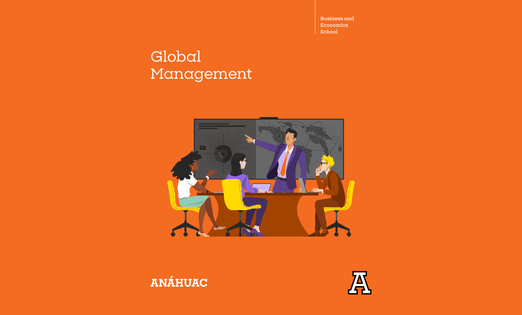**Business and Economics School**

# Global Management





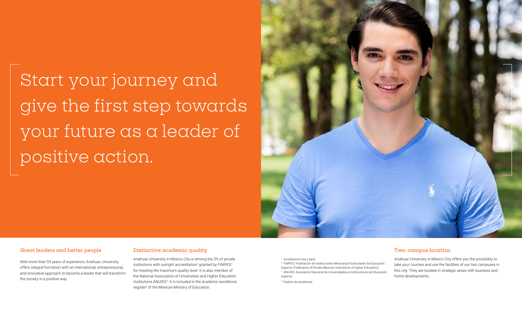Start your journey and give the first step towards your future as a leader of positive action.



#### **Great leaders and better people**

With more than 55 years of experience, Anahuac University offers integral formation with an international, entrepreneurial, and innovative approach to become a leader that will transform the society in a positive way.

#### **Distinctive academic quality**

Anahuac University in Mexico City is among the 3% of private institutions with outright accreditation<sup>1</sup> granted by  $\mathsf{FIMPES}^2$ for meeting the maximum quality level. It is also member of the National Association of Universities and Higher Education Institutions ANUIES<sup>3</sup>. It is included in the academic excellence register<sup>4</sup> of the Mexican Ministry of Education.

1 Acreditación lisa y llana

2 FIMPES: Federación de Instituciones Mexicanas Particulares de Educación Superior (Federation of Private Mexican Institutions of Higher Education) 3 ANUIES: Asociación Nacional de Universidades e Instituciones de Educación Superior

4 Padrón de excelencia

#### **Two-campus location**

Anahuac University in Mexico City offers you the possibility to take your courses and use the facilities of our two campuses in this city. They are located in strategic areas with business and home developments.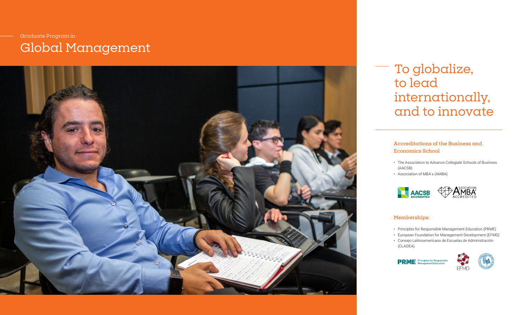### Graduate Program in Global Management



### To globalize, to lead internationally, and to innovate

#### **Accreditations of the Business and Economics School**

- The Association to Advance Collegiate Schools of Business (AACSB)
- Association of MBA's (AMBA)



#### **Memberships:**

- Principles for Responsible Management Education (PRME)
- European Foundation for Management Development (EFMD)
- Consejo Latinoamericano de Escuelas de Administración (CLADEA)



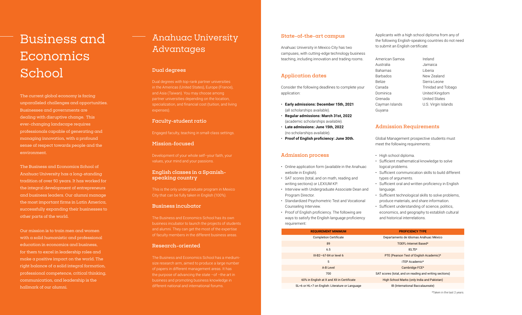# Economics School

The current global economy is facing unparalleled challenges and opportunities. Businesses and governments are dealing with disruptive change. This ever-changing landscape requires professionals capable of generating and managing innovation, with a profound sense of respect towards people and the environment.

The Business and Economics School of Anahuac University has a long-standing tradition of over 50 years. It has worked for the integral development of entrepreneurs and business leaders. Our alumni manage the most important firms in Latin America, successfully expanding their businesses to other parts of the world.

Our mission is to train men and women with a solid humanistic and professional education in economics and business, for them to excel in leadership roles and make a positive impact on the world. The right balance of a solid integral formation, professional competence, critical thinking, communication, and leadership is the hallmark of our alumni.

#### **Busines Child the following English-speaking countries do not need**  $\text{Buss}$ Anahuac University Advantages

#### **Dual degrees**

Dual degrees with top-rank partner universities in the Americas (United States), Europe (France), and Asia (Taiwan). You may choose among partner universities depending on the location, specialization, and financial cost (tuition, and living expenses).

#### **Faculty-student ratio**

Engaged faculty, teaching in small-class settings.

#### **Mission-focused**

Development of your whole self–your faith, your values, your mind and your passions.

#### **English classes in a Spanishspeaking country**

This is the only undergraduate program in Mexico City that can be fully taken in English (100%).

#### **Business incubator**

The Business and Economics School has its own business incubator to launch the projects of students and alumni. They can get the most of the expertise of faculty members in the different business areas.

#### **Research-oriented**

The Business and Economics School has a mediumsize research arm, aimed to produce a large number of papers in different management areas. It has the purpose of advancing the state –of –the art in business and promoting business knowledge in different national and international forums.

#### **State-of-the-art campus**

Anahuac University in Mexico City has two campuses, with cutting-edge technology business teaching, including innovation and trading rooms.

#### **Application dates**

Consider the following deadlines to complete your application:

- **Early admissions: December 15th, 2021** (all scholarships available).
- **Regular admissions: March 31st, 2022** (academic scholarships available).
- **Late admissions: June 15th, 2022** (no scholarships available).
- **Proof of English proficiency: June 30th.**

#### **Admission process**

- Online application form (available in the Anahuac website in English).
- SAT scores (total, and on math, reading and writing sections) or LEXIUM KP.
- Interview with Undergraduate Associate Dean and Program Director.
- Standardized Psychometric Test and Vocational Counseling Interview.
- Proof of English proficiency. The following are ways to satisfy the English language proficiency requirement:

Applicants with a high school diploma from any of to submit an English certificate:

| American Samoa | Ireland             |
|----------------|---------------------|
| Australia      | Jamaica             |
| Bahamas        | Liberia             |
| Barbados       | New Zealand         |
| <b>Belize</b>  | Sierra Leone        |
| Canada         | Trinidad and Tobago |
| Dominica       | United Kingdom      |
| Grenada        | United States       |
| Cayman Islands | U.S. Virgin Islands |
| Guvana         |                     |

#### **Admission Requirements**

Global Management prospective students must meet the following requirements:

• High school diploma.

Guyana

- Sufficient mathematical knowledge to solve logical problems.
- Sufficient communication skills to build different types of arguments.
- Sufficient oral and written proficiency in English language.
- Sufficient technological skills to solve problems, produce materials, and share information.

• Sufficient understanding of science, politics, economics, and geography to establish cultural and historical interrelations.

| <b>REQUIREMENT MINIMUM</b>                      | <b>PROFICIENCY TYPE</b>                                 |  |  |
|-------------------------------------------------|---------------------------------------------------------|--|--|
| <b>Completion Certificate</b>                   | Departamento de Idiomas Anáhuac México                  |  |  |
| 89                                              | TOEFL-Internet Based*                                   |  |  |
| 6.5                                             | IELTS*                                                  |  |  |
| $III-B2-67-84$ or level 6                       | PTE (Pearson Test of English Academic)*                 |  |  |
| 5                                               | iTEP Academic*                                          |  |  |
| A-B Level                                       | Cambridge FCE*                                          |  |  |
| 700                                             | SAT scores (total, and on reading and writing sections) |  |  |
| 60% in English at X and XII in Certificate      | High School Marks (only India and Pakistan)             |  |  |
| SL=6 or HL=7 on English: Literature or Language | IB (International Baccalaureate)                        |  |  |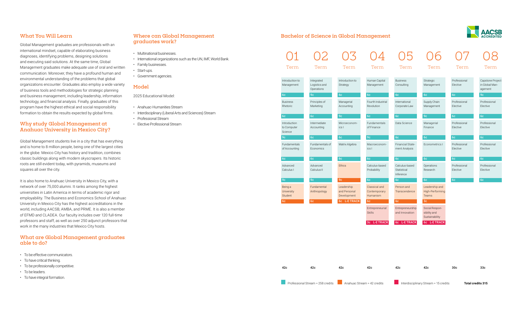#### **What You Will Learn**

Global Management graduates are professionals with an international mindset, capable of elaborating business diagnoses, identifying problems, designing solutions and executing said solutions. At the same time, Global Management graduates make adequate use of oral and written communication. Moreover, they have a profound human and environmental understanding of the problems that global organizations encounter. Graduates also employ a wide variety of business tools and methodologies for strategic planning and business management, including leadership, information technology, and financial analysis. Finally, graduates of this program have the highest ethical and social responsibility formation to obtain the results expected by global firms.

#### **Why study Global Management at Anahuac University in Mexico City?**

Global Management students live in a city that has everything and is home to 8 million people, being one of the largest cities in the globe. Mexico City has history and tradition, combines classic buildings along with modern skyscrapers. Its historic roots are still evident today, with pyramids, museums and squares all over the city.

It is also home to Anahuac University in Mexico City, with a network of over 75,000 alumni. It ranks among the highest universities in Latin America in terms of academic rigor and employability. The Business and Economics School of Anahuac University in Mexico City has the highest accreditations in the world, including AACSB, AMBA, and PRME. It is also a member of EFMD and CLADEA. Our faculty includes over 120 full-time professors and staff, as well as over 250 adjunct professors that work in the many industries that Mexico City hosts.

#### **What are Global Management graduates able to do?**

- To be effective communicators.
- To have critical thinking.
- To be professionally competitive.
- To be leaders.
- To have integral formation.

#### **Where can Global Management graduates work?**

- Multinational businesses.
- International organizations such as the UN, IMF, World Bank.
- Family businesses.
- Start-ups.
- Government agencies.

#### **Model**

2025 Educational Model:

- Anahuac-Humanities Stream
- Interdisciplinary (Liberal Arts and Sciences) Stream
- Professional Stream
- Elective Professional Stream

#### **Bachelor of Science in Global Management**



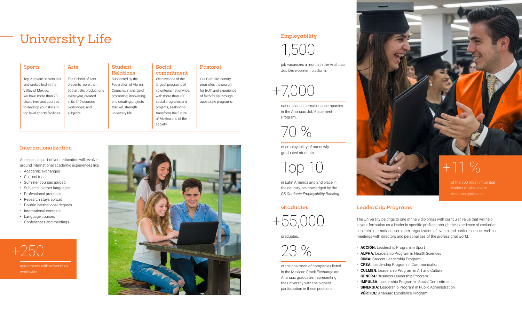### University Life

| <b>Sports</b>                | Arts                     | <b>Student</b><br><b>Relations</b> | Social<br>commitment   | Pastoral                 |
|------------------------------|--------------------------|------------------------------------|------------------------|--------------------------|
| Top 2 private universities   | The School of Arts       | Supported by the                   | We have one of the     | Our Catholic identity    |
| and ranked first in the      | presents more than       | Federation of Alumni               | largest programs of    | promotes the search      |
| Valley of Mexico.            | 500 artistic productions | Councils, in charge of             | volunteers nationwide. | for truth and experience |
| We have more than 20         | every year, created      | promoting, innovating,             | with more than 100     | of faith freely through  |
| disciplines and courses      | in its 540 courses.      | and creating projects              | social programs and    | apostolate programs.     |
| to develop your skills in    | workshops, and           | that will strength                 | projects, seeking to   |                          |
| top level sports facilities. | subjects.                | university life.                   | transform the future   |                          |
|                              |                          |                                    | of Mexico and of the   |                          |
|                              |                          |                                    | society.               |                          |

#### **Internationalization**

An essential part of your education will revolve around international academic experiences like:

- Academic exchanges
- Cultural trips
- Summer courses abroad
- Subjects in other languages
- Professional practices
- Research stays abroad
- Double international degrees
- International contests
- Language courses
- Conferences and meetings



agreements with universities worldwide.



#### **Employability**

1,500

job vacancies a month in the Anahuac Job Development platform.



national and international companies in the Anahuac Job Placement Program.

70 %

of employability of our newly graduated students.

Top 10

in Latin America and 2nd place in the country, acknowledged by the *QS Graduate Employability Ranking*.

#### **Graduates**



graduates.

23 %

of the chairmen of companies listed in the Mexican Stock Exchange are Anahuac graduates, representing the university with the highest participation in these positions.



## $+11\%$

of the 300 most influential leaders of Mexico are Anahuac graduates.

#### **Leadership Programs**

The University belongs to one of the 9 diplomas with curricular value that will help in your formation as a leader in specific profiles through the experience of exclusive subjects, international seminars, organization of events and conferences, as well as meetings with directors and personalities of the professional world.

- **ACCIÓN:** Leadership Program in Sport
- **ALPHA:** Leadership Program in Health Sciences
- **CIMA:** Student Leadership Program
- **CREA:** Leadership Program in Communication
- **CULMEN:** Leadership Program in Art and Culture
- **GENERA:** Business Leadership Program
- **IMPULSA:** Leadership Program in Social Commitment
- **SINERGIA:** Leadership Program in Public Administration
- **VÉRTICE:** Anahuac Excellence Program